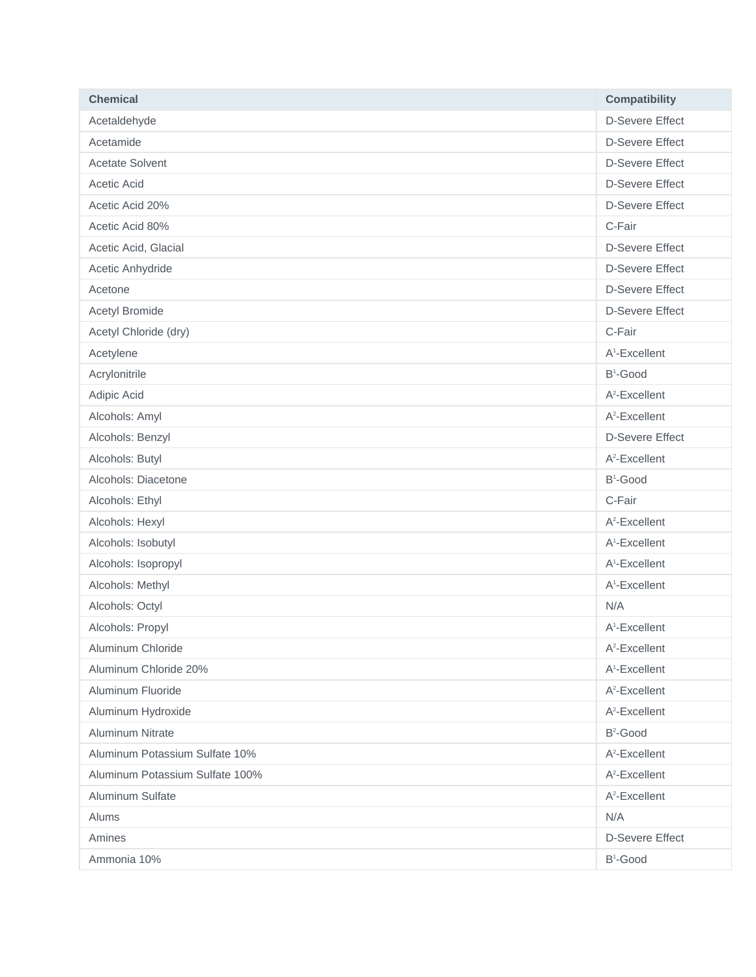| <b>Chemical</b>                 | <b>Compatibility</b>      |
|---------------------------------|---------------------------|
| Acetaldehyde                    | <b>D-Severe Effect</b>    |
| Acetamide                       | <b>D-Severe Effect</b>    |
| <b>Acetate Solvent</b>          | <b>D-Severe Effect</b>    |
| Acetic Acid                     | <b>D-Severe Effect</b>    |
| Acetic Acid 20%                 | <b>D-Severe Effect</b>    |
| Acetic Acid 80%                 | C-Fair                    |
| Acetic Acid, Glacial            | <b>D-Severe Effect</b>    |
| Acetic Anhydride                | <b>D-Severe Effect</b>    |
| Acetone                         | <b>D-Severe Effect</b>    |
| <b>Acetyl Bromide</b>           | <b>D-Severe Effect</b>    |
| Acetyl Chloride (dry)           | C-Fair                    |
| Acetylene                       | A <sup>1</sup> -Excellent |
| Acrylonitrile                   | B <sup>1</sup> -Good      |
| Adipic Acid                     | $A^2$ -Excellent          |
| Alcohols: Amyl                  | $A^2$ -Excellent          |
| Alcohols: Benzyl                | <b>D-Severe Effect</b>    |
| Alcohols: Butyl                 | $A^2$ -Excellent          |
| Alcohols: Diacetone             | B <sup>1</sup> -Good      |
| Alcohols: Ethyl                 | C-Fair                    |
| Alcohols: Hexyl                 | $A^2$ -Excellent          |
| Alcohols: Isobutyl              | A <sup>1</sup> -Excellent |
| Alcohols: Isopropyl             | A <sup>1</sup> -Excellent |
| Alcohols: Methyl                | A <sup>1</sup> -Excellent |
| Alcohols: Octyl                 | N/A                       |
| Alcohols: Propyl                | A <sup>1</sup> -Excellent |
| Aluminum Chloride               | A <sup>2</sup> -Excellent |
| Aluminum Chloride 20%           | A <sup>1</sup> -Excellent |
| Aluminum Fluoride               | $A^2$ -Excellent          |
| Aluminum Hydroxide              | $A^2$ -Excellent          |
| Aluminum Nitrate                | $B^2$ -Good               |
| Aluminum Potassium Sulfate 10%  | A <sup>2</sup> -Excellent |
| Aluminum Potassium Sulfate 100% | $A^2$ -Excellent          |
| Aluminum Sulfate                | $A^2$ -Excellent          |
| Alums                           | N/A                       |
| Amines                          | <b>D-Severe Effect</b>    |
| Ammonia 10%                     | B <sup>1</sup> -Good      |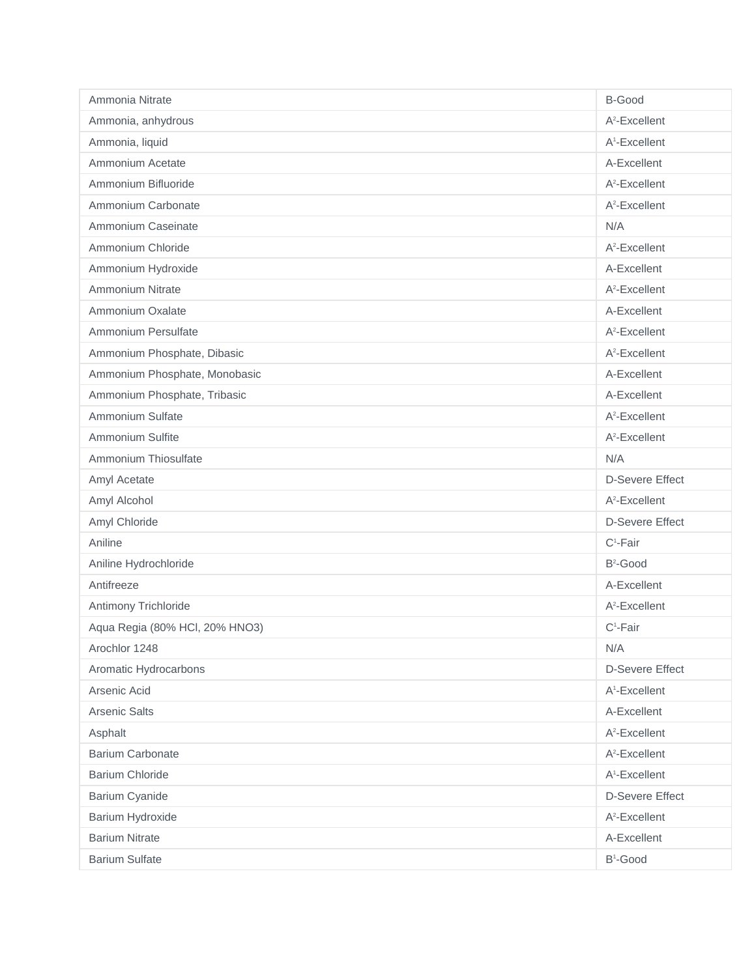| Ammonia Nitrate                | B-Good                    |
|--------------------------------|---------------------------|
| Ammonia, anhydrous             | $A^2$ -Excellent          |
| Ammonia, liquid                | A <sup>1</sup> -Excellent |
| Ammonium Acetate               | A-Excellent               |
| Ammonium Bifluoride            | $A^2$ -Excellent          |
| Ammonium Carbonate             | $A^2$ -Excellent          |
| Ammonium Caseinate             | N/A                       |
| Ammonium Chloride              | $A^2$ -Excellent          |
| Ammonium Hydroxide             | A-Excellent               |
| <b>Ammonium Nitrate</b>        | $A^2$ -Excellent          |
| Ammonium Oxalate               | A-Excellent               |
| Ammonium Persulfate            | A <sup>2</sup> -Excellent |
| Ammonium Phosphate, Dibasic    | $A^2$ -Excellent          |
| Ammonium Phosphate, Monobasic  | A-Excellent               |
| Ammonium Phosphate, Tribasic   | A-Excellent               |
| Ammonium Sulfate               | $A^2$ -Excellent          |
| Ammonium Sulfite               | A <sup>2</sup> -Excellent |
| Ammonium Thiosulfate           | N/A                       |
| Amyl Acetate                   | <b>D-Severe Effect</b>    |
| Amyl Alcohol                   | $A^2$ -Excellent          |
| Amyl Chloride                  | <b>D-Severe Effect</b>    |
| Aniline                        | $C^1$ -Fair               |
| Aniline Hydrochloride          | $B^2$ -Good               |
| Antifreeze                     | A-Excellent               |
| Antimony Trichloride           | $A^2$ -Excellent          |
| Aqua Regia (80% HCl, 20% HNO3) | $C^1$ -Fair               |
| Arochlor 1248                  | N/A                       |
| Aromatic Hydrocarbons          | <b>D-Severe Effect</b>    |
| Arsenic Acid                   | A <sup>1</sup> -Excellent |
| <b>Arsenic Salts</b>           | A-Excellent               |
| Asphalt                        | $A^2$ -Excellent          |
| <b>Barium Carbonate</b>        | A <sup>2</sup> -Excellent |
| <b>Barium Chloride</b>         | A <sup>1</sup> -Excellent |
| <b>Barium Cyanide</b>          | <b>D-Severe Effect</b>    |
| Barium Hydroxide               | A <sup>2</sup> -Excellent |
| <b>Barium Nitrate</b>          | A-Excellent               |
| <b>Barium Sulfate</b>          | B <sup>1</sup> -Good      |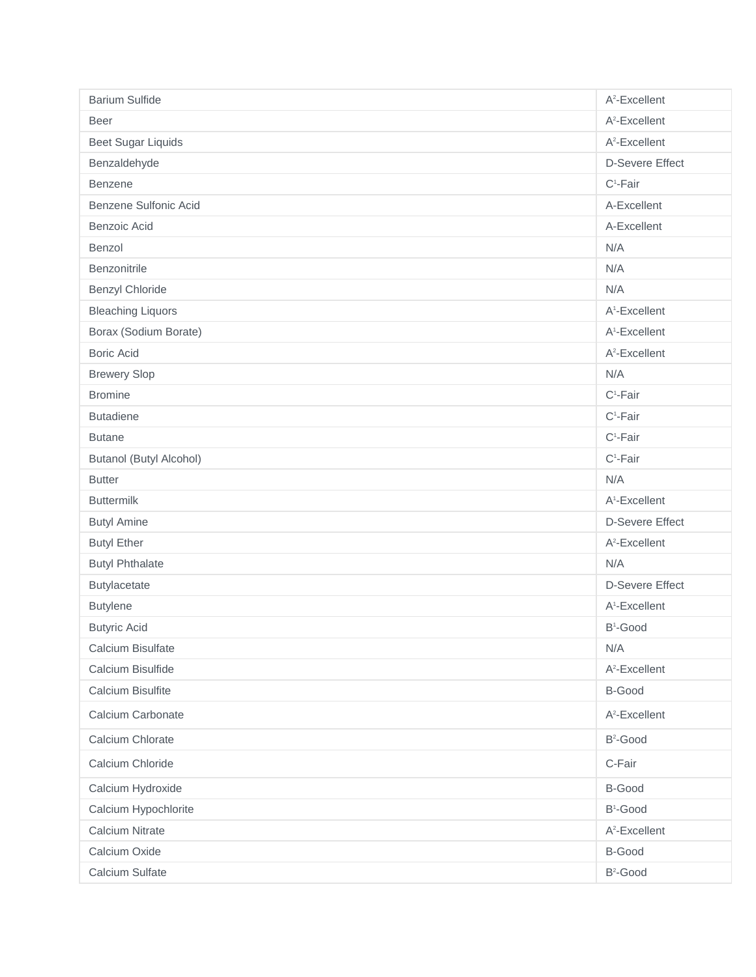| <b>Barium Sulfide</b>          | A <sup>2</sup> -Excellent |
|--------------------------------|---------------------------|
| <b>Beer</b>                    | A <sup>2</sup> -Excellent |
| <b>Beet Sugar Liquids</b>      | $A^2$ -Excellent          |
| Benzaldehyde                   | <b>D-Severe Effect</b>    |
| Benzene                        | $C^1$ -Fair               |
| Benzene Sulfonic Acid          | A-Excellent               |
| Benzoic Acid                   | A-Excellent               |
| Benzol                         | N/A                       |
| Benzonitrile                   | N/A                       |
| <b>Benzyl Chloride</b>         | N/A                       |
| <b>Bleaching Liquors</b>       | A <sup>1</sup> -Excellent |
| Borax (Sodium Borate)          | A <sup>1</sup> -Excellent |
| <b>Boric Acid</b>              | $A^2$ -Excellent          |
| <b>Brewery Slop</b>            | N/A                       |
| <b>Bromine</b>                 | $C^1$ -Fair               |
| <b>Butadiene</b>               | $C^1$ -Fair               |
| <b>Butane</b>                  | $C^1$ -Fair               |
| <b>Butanol (Butyl Alcohol)</b> | $C^1$ -Fair               |
| <b>Butter</b>                  | N/A                       |
| <b>Buttermilk</b>              | A <sup>1</sup> -Excellent |
| <b>Butyl Amine</b>             | <b>D-Severe Effect</b>    |
| <b>Butyl Ether</b>             | A <sup>2</sup> -Excellent |
| <b>Butyl Phthalate</b>         | N/A                       |
| Butylacetate                   | <b>D-Severe Effect</b>    |
| <b>Butylene</b>                | A <sup>1</sup> -Excellent |
| <b>Butyric Acid</b>            | B <sup>1</sup> -Good      |
| Calcium Bisulfate              | N/A                       |
| Calcium Bisulfide              | A <sup>2</sup> -Excellent |
| Calcium Bisulfite              | B-Good                    |
| Calcium Carbonate              | A <sup>2</sup> -Excellent |
| Calcium Chlorate               | B <sup>2</sup> -Good      |
| Calcium Chloride               | C-Fair                    |
| Calcium Hydroxide              | B-Good                    |
| Calcium Hypochlorite           | B <sup>1</sup> -Good      |
| <b>Calcium Nitrate</b>         | A <sup>2</sup> -Excellent |
| Calcium Oxide                  | B-Good                    |
| Calcium Sulfate                | B <sup>2</sup> -Good      |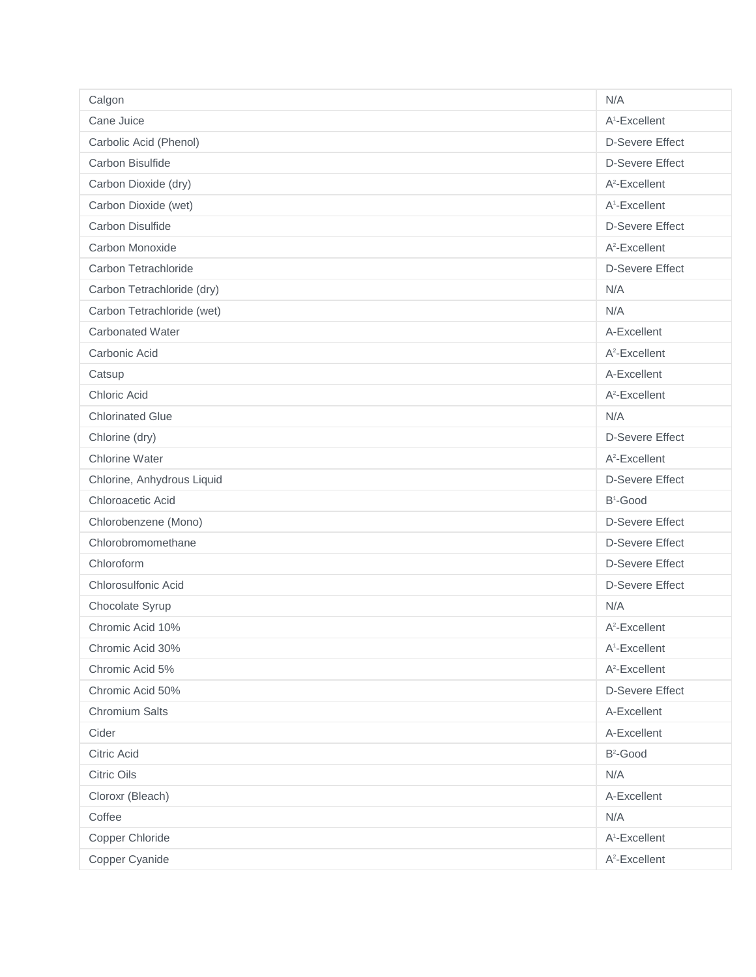| Calgon                     | N/A                       |
|----------------------------|---------------------------|
| Cane Juice                 | A <sup>1</sup> -Excellent |
| Carbolic Acid (Phenol)     | <b>D-Severe Effect</b>    |
| Carbon Bisulfide           | <b>D-Severe Effect</b>    |
| Carbon Dioxide (dry)       | $A^2$ -Excellent          |
| Carbon Dioxide (wet)       | A <sup>1</sup> -Excellent |
| Carbon Disulfide           | <b>D-Severe Effect</b>    |
| Carbon Monoxide            | $A^2$ -Excellent          |
| Carbon Tetrachloride       | <b>D-Severe Effect</b>    |
| Carbon Tetrachloride (dry) | N/A                       |
| Carbon Tetrachloride (wet) | N/A                       |
| <b>Carbonated Water</b>    | A-Excellent               |
| Carbonic Acid              | $A^2$ -Excellent          |
| Catsup                     | A-Excellent               |
| <b>Chloric Acid</b>        | $A^2$ -Excellent          |
| <b>Chlorinated Glue</b>    | N/A                       |
| Chlorine (dry)             | <b>D-Severe Effect</b>    |
| <b>Chlorine Water</b>      | A <sup>2</sup> -Excellent |
| Chlorine, Anhydrous Liquid | <b>D-Severe Effect</b>    |
| Chloroacetic Acid          | B <sup>1</sup> -Good      |
| Chlorobenzene (Mono)       | <b>D-Severe Effect</b>    |
| Chlorobromomethane         | <b>D-Severe Effect</b>    |
| Chloroform                 | <b>D-Severe Effect</b>    |
| Chlorosulfonic Acid        | <b>D-Severe Effect</b>    |
| Chocolate Syrup            | N/A                       |
| Chromic Acid 10%           | $A^2$ -Excellent          |
| Chromic Acid 30%           | A <sup>1</sup> -Excellent |
| Chromic Acid 5%            | A <sup>2</sup> -Excellent |
| Chromic Acid 50%           | <b>D-Severe Effect</b>    |
| Chromium Salts             | A-Excellent               |
| Cider                      | A-Excellent               |
| Citric Acid                | B <sup>2</sup> -Good      |
| <b>Citric Oils</b>         | N/A                       |
| Cloroxr (Bleach)           | A-Excellent               |
| Coffee                     | N/A                       |
| Copper Chloride            | A <sup>1</sup> -Excellent |
| Copper Cyanide             | A <sup>2</sup> -Excellent |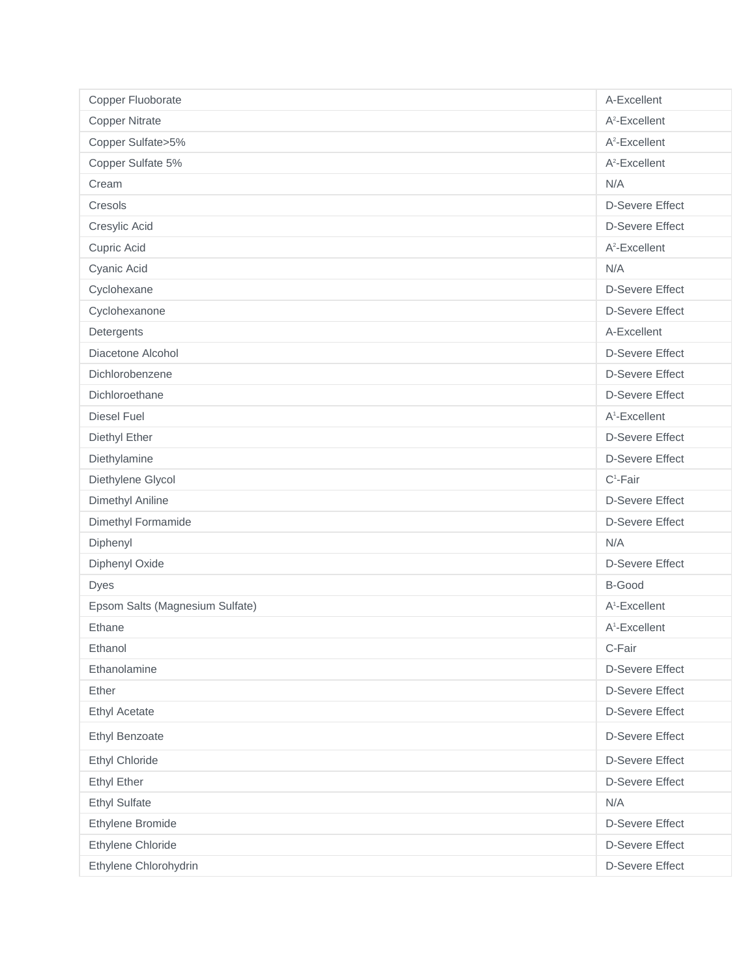| Copper Fluoborate               | A-Excellent               |
|---------------------------------|---------------------------|
| <b>Copper Nitrate</b>           | A <sup>2</sup> -Excellent |
| Copper Sulfate>5%               | $A^2$ -Excellent          |
| Copper Sulfate 5%               | A <sup>2</sup> -Excellent |
| Cream                           | N/A                       |
| Cresols                         | <b>D-Severe Effect</b>    |
| Cresylic Acid                   | <b>D-Severe Effect</b>    |
| Cupric Acid                     | $A^2$ -Excellent          |
| Cyanic Acid                     | N/A                       |
| Cyclohexane                     | <b>D-Severe Effect</b>    |
| Cyclohexanone                   | <b>D-Severe Effect</b>    |
| Detergents                      | A-Excellent               |
| Diacetone Alcohol               | <b>D-Severe Effect</b>    |
| Dichlorobenzene                 | <b>D-Severe Effect</b>    |
| Dichloroethane                  | <b>D-Severe Effect</b>    |
| <b>Diesel Fuel</b>              | A <sup>1</sup> -Excellent |
| Diethyl Ether                   | <b>D-Severe Effect</b>    |
| Diethylamine                    | <b>D-Severe Effect</b>    |
| Diethylene Glycol               | $C^1$ -Fair               |
| Dimethyl Aniline                | <b>D-Severe Effect</b>    |
| Dimethyl Formamide              | <b>D-Severe Effect</b>    |
| Diphenyl                        | N/A                       |
| Diphenyl Oxide                  | <b>D-Severe Effect</b>    |
| <b>Dyes</b>                     | <b>B-Good</b>             |
| Epsom Salts (Magnesium Sulfate) | A <sup>1</sup> -Excellent |
| Ethane                          | A <sup>1</sup> -Excellent |
| Ethanol                         | C-Fair                    |
| Ethanolamine                    | <b>D-Severe Effect</b>    |
| Ether                           | <b>D-Severe Effect</b>    |
| <b>Ethyl Acetate</b>            | <b>D-Severe Effect</b>    |
| <b>Ethyl Benzoate</b>           | <b>D-Severe Effect</b>    |
| Ethyl Chloride                  | <b>D-Severe Effect</b>    |
| <b>Ethyl Ether</b>              | <b>D-Severe Effect</b>    |
| <b>Ethyl Sulfate</b>            | N/A                       |
| Ethylene Bromide                | <b>D-Severe Effect</b>    |
| Ethylene Chloride               | <b>D-Severe Effect</b>    |
| Ethylene Chlorohydrin           | <b>D-Severe Effect</b>    |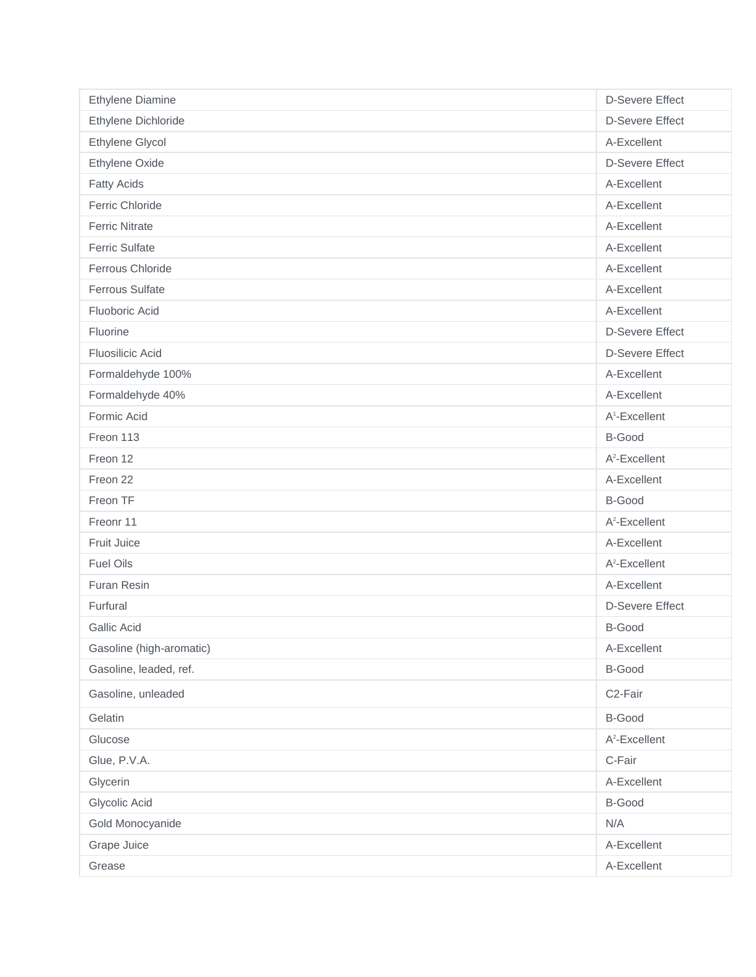| Ethylene Diamine         | <b>D-Severe Effect</b>    |
|--------------------------|---------------------------|
| Ethylene Dichloride      | <b>D-Severe Effect</b>    |
| Ethylene Glycol          | A-Excellent               |
| Ethylene Oxide           | <b>D-Severe Effect</b>    |
| <b>Fatty Acids</b>       | A-Excellent               |
| Ferric Chloride          | A-Excellent               |
| <b>Ferric Nitrate</b>    | A-Excellent               |
| <b>Ferric Sulfate</b>    | A-Excellent               |
| Ferrous Chloride         | A-Excellent               |
| <b>Ferrous Sulfate</b>   | A-Excellent               |
| Fluoboric Acid           | A-Excellent               |
| Fluorine                 | <b>D-Severe Effect</b>    |
| <b>Fluosilicic Acid</b>  | <b>D-Severe Effect</b>    |
| Formaldehyde 100%        | A-Excellent               |
| Formaldehyde 40%         | A-Excellent               |
| Formic Acid              | A <sup>1</sup> -Excellent |
| Freon 113                | B-Good                    |
| Freon 12                 | A <sup>2</sup> -Excellent |
| Freon 22                 | A-Excellent               |
| Freon TF                 | B-Good                    |
| Freonr 11                | A <sup>2</sup> -Excellent |
| Fruit Juice              | A-Excellent               |
| <b>Fuel Oils</b>         | $A^2$ -Excellent          |
| Furan Resin              | A-Excellent               |
| Furfural                 | <b>D-Severe Effect</b>    |
| <b>Gallic Acid</b>       | B-Good                    |
| Gasoline (high-aromatic) | A-Excellent               |
| Gasoline, leaded, ref.   | B-Good                    |
| Gasoline, unleaded       | C2-Fair                   |
| Gelatin                  | B-Good                    |
| Glucose                  | A <sup>2</sup> -Excellent |
| Glue, P.V.A.             | C-Fair                    |
| Glycerin                 | A-Excellent               |
| Glycolic Acid            | B-Good                    |
| Gold Monocyanide         | N/A                       |
| Grape Juice              | A-Excellent               |
| Grease                   | A-Excellent               |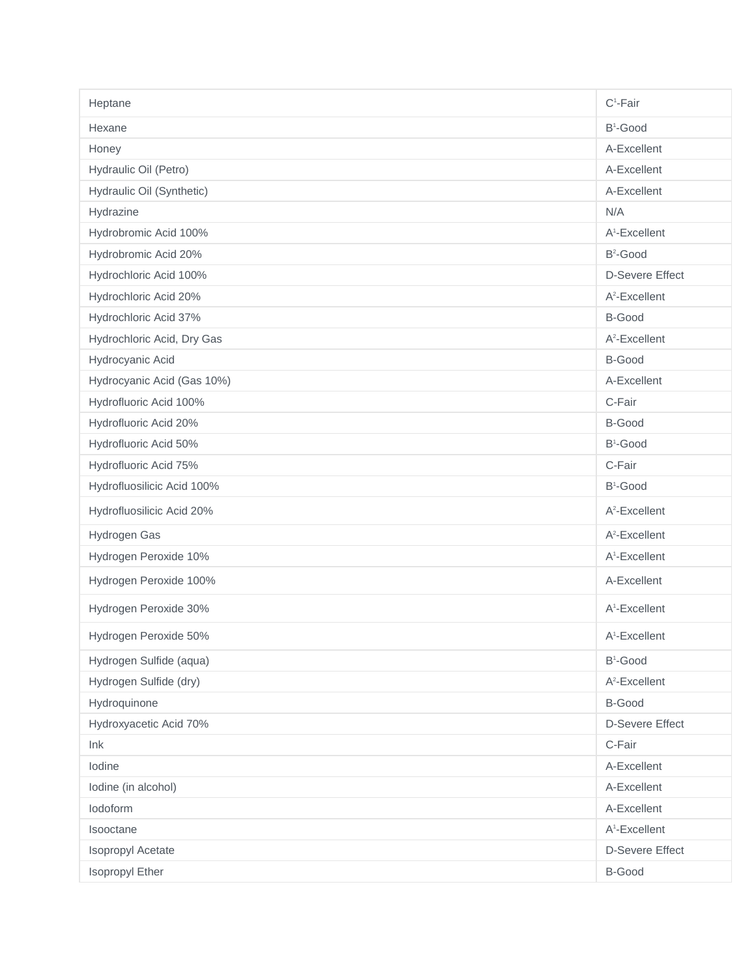| Heptane                    | $C^1$ -Fair               |
|----------------------------|---------------------------|
| Hexane                     | $B^1$ -Good               |
| Honey                      | A-Excellent               |
| Hydraulic Oil (Petro)      | A-Excellent               |
| Hydraulic Oil (Synthetic)  | A-Excellent               |
| Hydrazine                  | N/A                       |
| Hydrobromic Acid 100%      | A <sup>1</sup> -Excellent |
| Hydrobromic Acid 20%       | B <sup>2</sup> -Good      |
| Hydrochloric Acid 100%     | <b>D-Severe Effect</b>    |
| Hydrochloric Acid 20%      | A <sup>2</sup> -Excellent |
| Hydrochloric Acid 37%      | <b>B-Good</b>             |
| Hydrochloric Acid, Dry Gas | $A^2$ -Excellent          |
| Hydrocyanic Acid           | B-Good                    |
| Hydrocyanic Acid (Gas 10%) | A-Excellent               |
| Hydrofluoric Acid 100%     | C-Fair                    |
| Hydrofluoric Acid 20%      | B-Good                    |
| Hydrofluoric Acid 50%      | B <sup>1</sup> -Good      |
| Hydrofluoric Acid 75%      | C-Fair                    |
| Hydrofluosilicic Acid 100% | B <sup>1</sup> -Good      |
| Hydrofluosilicic Acid 20%  | A <sup>2</sup> -Excellent |
| Hydrogen Gas               | A <sup>2</sup> -Excellent |
| Hydrogen Peroxide 10%      | A <sup>1</sup> -Excellent |
| Hydrogen Peroxide 100%     | A-Excellent               |
| Hydrogen Peroxide 30%      | A <sup>1</sup> -Excellent |
| Hydrogen Peroxide 50%      | A <sup>1</sup> -Excellent |
| Hydrogen Sulfide (aqua)    | $B^1$ -Good               |
| Hydrogen Sulfide (dry)     | A <sup>2</sup> -Excellent |
| Hydroquinone               | <b>B-Good</b>             |
| Hydroxyacetic Acid 70%     | <b>D-Severe Effect</b>    |
| Ink                        | C-Fair                    |
| Iodine                     | A-Excellent               |
| lodine (in alcohol)        | A-Excellent               |
| lodoform                   | A-Excellent               |
| Isooctane                  | A <sup>1</sup> -Excellent |
| Isopropyl Acetate          | <b>D-Severe Effect</b>    |
| Isopropyl Ether            | <b>B-Good</b>             |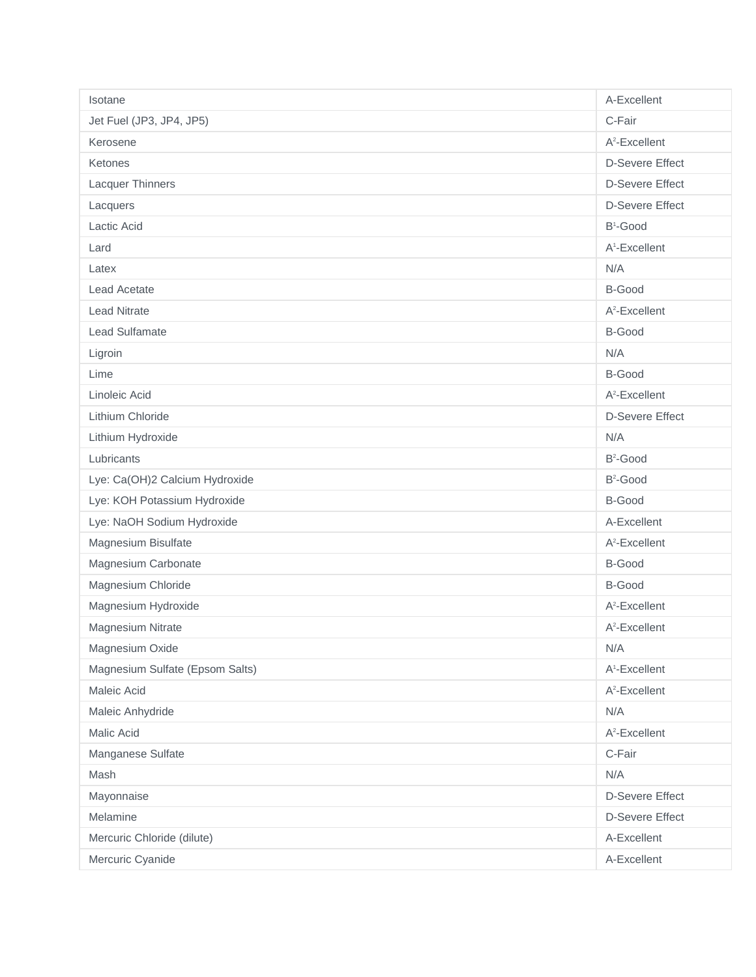| Isotane                         | A-Excellent               |
|---------------------------------|---------------------------|
| Jet Fuel (JP3, JP4, JP5)        | C-Fair                    |
| Kerosene                        | $A^2$ -Excellent          |
| Ketones                         | <b>D-Severe Effect</b>    |
| Lacquer Thinners                | <b>D-Severe Effect</b>    |
| Lacquers                        | <b>D-Severe Effect</b>    |
| Lactic Acid                     | B <sup>1</sup> -Good      |
| Lard                            | A <sup>1</sup> -Excellent |
| Latex                           | N/A                       |
| <b>Lead Acetate</b>             | <b>B-Good</b>             |
| <b>Lead Nitrate</b>             | A <sup>2</sup> -Excellent |
| Lead Sulfamate                  | B-Good                    |
| Ligroin                         | N/A                       |
| Lime                            | <b>B-Good</b>             |
| Linoleic Acid                   | $A^2$ -Excellent          |
| Lithium Chloride                | <b>D-Severe Effect</b>    |
| Lithium Hydroxide               | N/A                       |
| Lubricants                      | B <sup>2</sup> -Good      |
| Lye: Ca(OH)2 Calcium Hydroxide  | B <sup>2</sup> -Good      |
| Lye: KOH Potassium Hydroxide    | <b>B-Good</b>             |
| Lye: NaOH Sodium Hydroxide      | A-Excellent               |
| Magnesium Bisulfate             | $A^2$ -Excellent          |
| Magnesium Carbonate             | B-Good                    |
| Magnesium Chloride              | B-Good                    |
| Magnesium Hydroxide             | A <sup>2</sup> -Excellent |
| Magnesium Nitrate               | $A^2$ -Excellent          |
| Magnesium Oxide                 | N/A                       |
| Magnesium Sulfate (Epsom Salts) | A <sup>1</sup> -Excellent |
| Maleic Acid                     | A <sup>2</sup> -Excellent |
| Maleic Anhydride                | N/A                       |
| Malic Acid                      | A <sup>2</sup> -Excellent |
| Manganese Sulfate               | C-Fair                    |
| Mash                            | N/A                       |
| Mayonnaise                      | <b>D-Severe Effect</b>    |
| Melamine                        | <b>D-Severe Effect</b>    |
| Mercuric Chloride (dilute)      | A-Excellent               |
| Mercuric Cyanide                | A-Excellent               |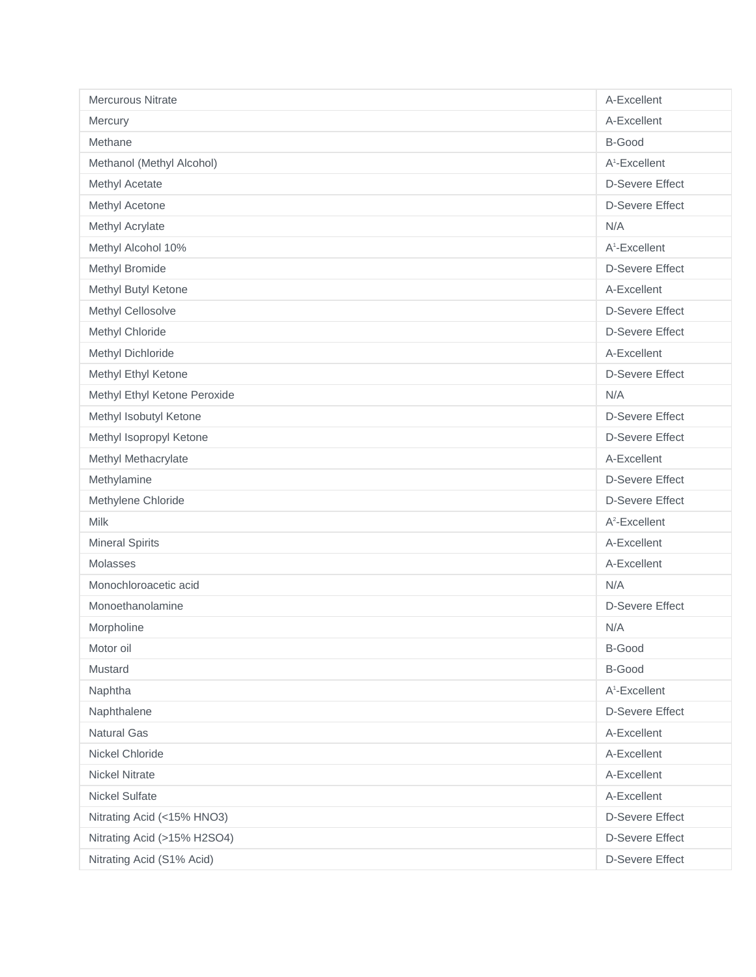| <b>Mercurous Nitrate</b>     | A-Excellent               |
|------------------------------|---------------------------|
| Mercury                      | A-Excellent               |
| Methane                      | <b>B-Good</b>             |
| Methanol (Methyl Alcohol)    | A <sup>1</sup> -Excellent |
| Methyl Acetate               | <b>D-Severe Effect</b>    |
| Methyl Acetone               | <b>D-Severe Effect</b>    |
| Methyl Acrylate              | N/A                       |
| Methyl Alcohol 10%           | A <sup>1</sup> -Excellent |
| Methyl Bromide               | <b>D-Severe Effect</b>    |
| Methyl Butyl Ketone          | A-Excellent               |
| Methyl Cellosolve            | <b>D-Severe Effect</b>    |
| Methyl Chloride              | <b>D-Severe Effect</b>    |
| Methyl Dichloride            | A-Excellent               |
| Methyl Ethyl Ketone          | <b>D-Severe Effect</b>    |
| Methyl Ethyl Ketone Peroxide | N/A                       |
| Methyl Isobutyl Ketone       | <b>D-Severe Effect</b>    |
| Methyl Isopropyl Ketone      | <b>D-Severe Effect</b>    |
| Methyl Methacrylate          | A-Excellent               |
| Methylamine                  | <b>D-Severe Effect</b>    |
| Methylene Chloride           | <b>D-Severe Effect</b>    |
| <b>Milk</b>                  | $A^2$ -Excellent          |
| <b>Mineral Spirits</b>       | A-Excellent               |
| Molasses                     | A-Excellent               |
| Monochloroacetic acid        | N/A                       |
| Monoethanolamine             | <b>D-Severe Effect</b>    |
| Morpholine                   | N/A                       |
| Motor oil                    | <b>B-Good</b>             |
| Mustard                      | B-Good                    |
| Naphtha                      | A <sup>1</sup> -Excellent |
| Naphthalene                  | <b>D-Severe Effect</b>    |
| Natural Gas                  | A-Excellent               |
| Nickel Chloride              | A-Excellent               |
| <b>Nickel Nitrate</b>        | A-Excellent               |
| Nickel Sulfate               | A-Excellent               |
| Nitrating Acid (<15% HNO3)   | <b>D-Severe Effect</b>    |
| Nitrating Acid (>15% H2SO4)  | <b>D-Severe Effect</b>    |
| Nitrating Acid (S1% Acid)    | <b>D-Severe Effect</b>    |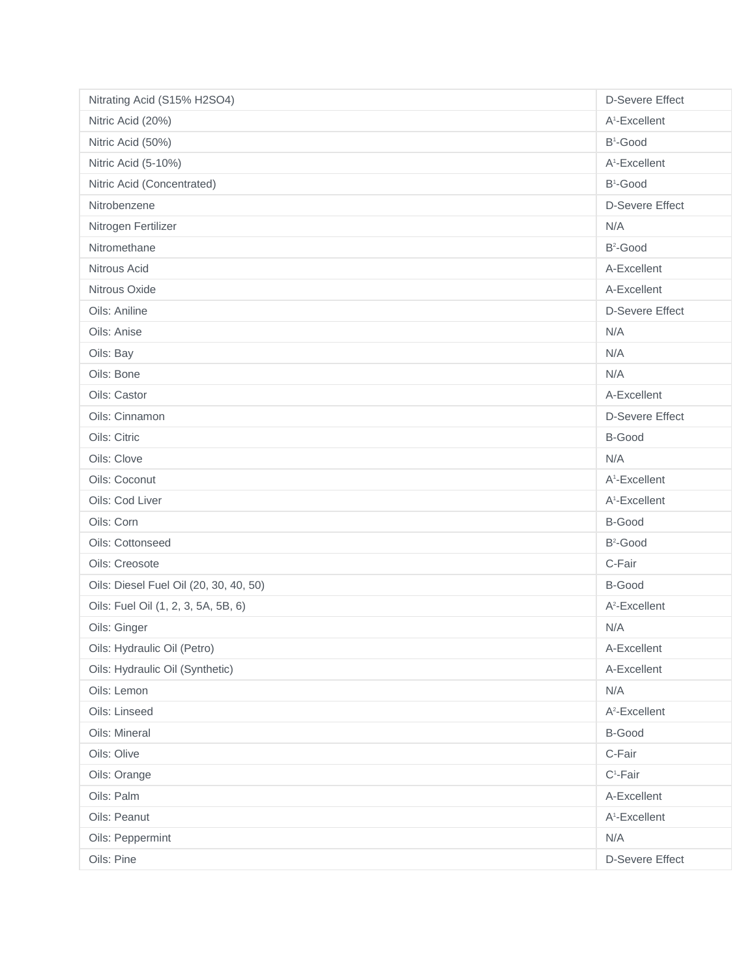| Nitrating Acid (S15% H2SO4)            | <b>D-Severe Effect</b>    |
|----------------------------------------|---------------------------|
| Nitric Acid (20%)                      | A <sup>1</sup> -Excellent |
| Nitric Acid (50%)                      | B <sup>1</sup> -Good      |
| Nitric Acid (5-10%)                    | A <sup>1</sup> -Excellent |
| Nitric Acid (Concentrated)             | B <sup>1</sup> -Good      |
| Nitrobenzene                           | <b>D-Severe Effect</b>    |
| Nitrogen Fertilizer                    | N/A                       |
| Nitromethane                           | $B^2$ -Good               |
| Nitrous Acid                           | A-Excellent               |
| Nitrous Oxide                          | A-Excellent               |
| Oils: Aniline                          | <b>D-Severe Effect</b>    |
| Oils: Anise                            | N/A                       |
| Oils: Bay                              | N/A                       |
| Oils: Bone                             | N/A                       |
| Oils: Castor                           | A-Excellent               |
| Oils: Cinnamon                         | <b>D-Severe Effect</b>    |
| Oils: Citric                           | B-Good                    |
| Oils: Clove                            | N/A                       |
| Oils: Coconut                          | A <sup>1</sup> -Excellent |
| Oils: Cod Liver                        | A <sup>1</sup> -Excellent |
| Oils: Corn                             | B-Good                    |
| Oils: Cottonseed                       | $B^2$ -Good               |
| Oils: Creosote                         | C-Fair                    |
| Oils: Diesel Fuel Oil (20, 30, 40, 50) | <b>B-Good</b>             |
| Oils: Fuel Oil (1, 2, 3, 5A, 5B, 6)    | A <sup>2</sup> -Excellent |
| Oils: Ginger                           | N/A                       |
| Oils: Hydraulic Oil (Petro)            | A-Excellent               |
| Oils: Hydraulic Oil (Synthetic)        | A-Excellent               |
| Oils: Lemon                            | N/A                       |
| Oils: Linseed                          | A <sup>2</sup> -Excellent |
| Oils: Mineral                          | B-Good                    |
| Oils: Olive                            | C-Fair                    |
| Oils: Orange                           | $C^1$ -Fair               |
| Oils: Palm                             | A-Excellent               |
| Oils: Peanut                           | A <sup>1</sup> -Excellent |
| Oils: Peppermint                       | N/A                       |
| Oils: Pine                             | <b>D-Severe Effect</b>    |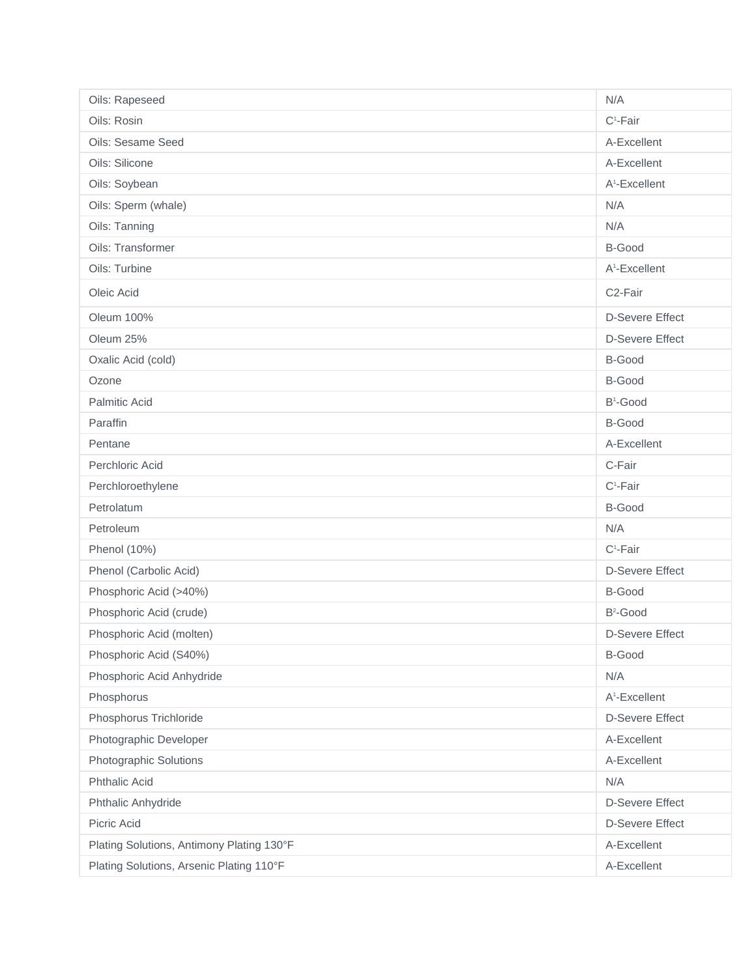| Oils: Rapeseed                            | N/A                       |
|-------------------------------------------|---------------------------|
| Oils: Rosin                               | $C^1$ -Fair               |
| Oils: Sesame Seed                         | A-Excellent               |
| Oils: Silicone                            | A-Excellent               |
| Oils: Soybean                             | A <sup>1</sup> -Excellent |
| Oils: Sperm (whale)                       | N/A                       |
| Oils: Tanning                             | N/A                       |
| Oils: Transformer                         | B-Good                    |
| Oils: Turbine                             | A <sup>1</sup> -Excellent |
| Oleic Acid                                | C <sub>2</sub> -Fair      |
| Oleum 100%                                | <b>D-Severe Effect</b>    |
| Oleum 25%                                 | <b>D-Severe Effect</b>    |
| Oxalic Acid (cold)                        | <b>B-Good</b>             |
| Ozone                                     | B-Good                    |
| Palmitic Acid                             | B <sup>1</sup> -Good      |
| Paraffin                                  | B-Good                    |
| Pentane                                   | A-Excellent               |
| Perchloric Acid                           | C-Fair                    |
| Perchloroethylene                         | $C^1$ -Fair               |
| Petrolatum                                | B-Good                    |
| Petroleum                                 | N/A                       |
| Phenol (10%)                              | $C^1$ -Fair               |
| Phenol (Carbolic Acid)                    | <b>D-Severe Effect</b>    |
| Phosphoric Acid (>40%)                    | B-Good                    |
| Phosphoric Acid (crude)                   | $B^2$ -Good               |
| Phosphoric Acid (molten)                  | <b>D-Severe Effect</b>    |
| Phosphoric Acid (S40%)                    | B-Good                    |
| Phosphoric Acid Anhydride                 | N/A                       |
| Phosphorus                                | A <sup>1</sup> -Excellent |
| Phosphorus Trichloride                    | <b>D-Severe Effect</b>    |
| Photographic Developer                    | A-Excellent               |
| Photographic Solutions                    | A-Excellent               |
| <b>Phthalic Acid</b>                      | N/A                       |
| Phthalic Anhydride                        | <b>D-Severe Effect</b>    |
| Picric Acid                               | <b>D-Severe Effect</b>    |
| Plating Solutions, Antimony Plating 130°F | A-Excellent               |
| Plating Solutions, Arsenic Plating 110°F  | A-Excellent               |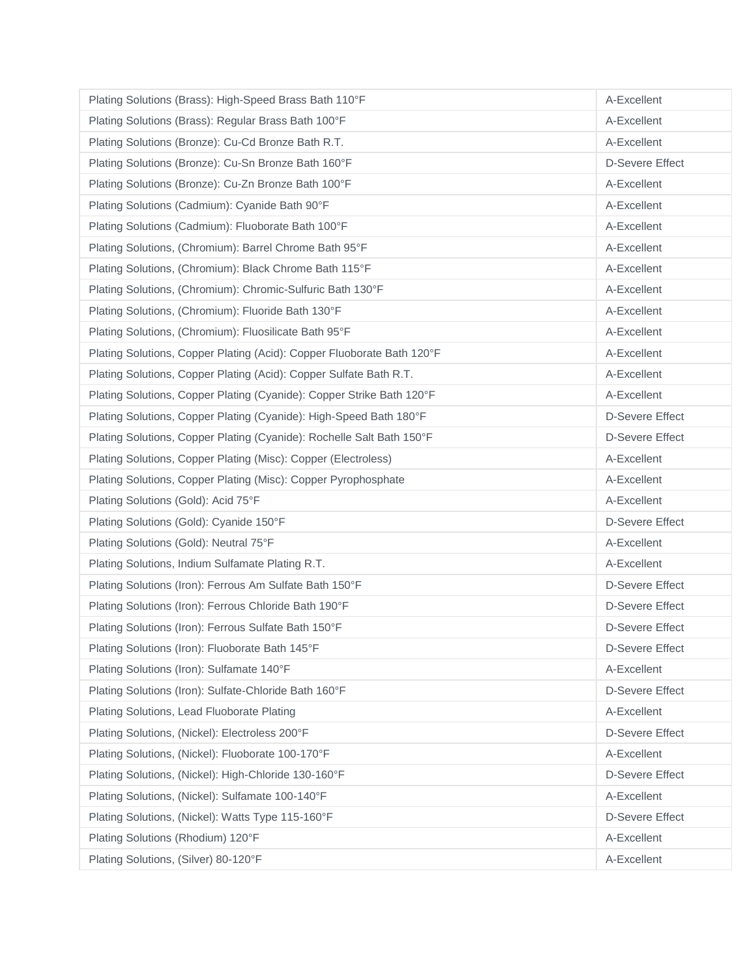| Plating Solutions (Brass): High-Speed Brass Bath 110°F                 | A-Excellent            |
|------------------------------------------------------------------------|------------------------|
| Plating Solutions (Brass): Regular Brass Bath 100°F                    | A-Excellent            |
| Plating Solutions (Bronze): Cu-Cd Bronze Bath R.T.                     | A-Excellent            |
| Plating Solutions (Bronze): Cu-Sn Bronze Bath 160°F                    | <b>D-Severe Effect</b> |
| Plating Solutions (Bronze): Cu-Zn Bronze Bath 100°F                    | A-Excellent            |
| Plating Solutions (Cadmium): Cyanide Bath 90°F                         | A-Excellent            |
| Plating Solutions (Cadmium): Fluoborate Bath 100°F                     | A-Excellent            |
| Plating Solutions, (Chromium): Barrel Chrome Bath 95°F                 | A-Excellent            |
| Plating Solutions, (Chromium): Black Chrome Bath 115°F                 | A-Excellent            |
| Plating Solutions, (Chromium): Chromic-Sulfuric Bath 130°F             | A-Excellent            |
| Plating Solutions, (Chromium): Fluoride Bath 130°F                     | A-Excellent            |
| Plating Solutions, (Chromium): Fluosilicate Bath 95°F                  | A-Excellent            |
| Plating Solutions, Copper Plating (Acid): Copper Fluoborate Bath 120°F | A-Excellent            |
| Plating Solutions, Copper Plating (Acid): Copper Sulfate Bath R.T.     | A-Excellent            |
| Plating Solutions, Copper Plating (Cyanide): Copper Strike Bath 120°F  | A-Excellent            |
| Plating Solutions, Copper Plating (Cyanide): High-Speed Bath 180°F     | <b>D-Severe Effect</b> |
| Plating Solutions, Copper Plating (Cyanide): Rochelle Salt Bath 150°F  | <b>D-Severe Effect</b> |
| Plating Solutions, Copper Plating (Misc): Copper (Electroless)         | A-Excellent            |
| Plating Solutions, Copper Plating (Misc): Copper Pyrophosphate         | A-Excellent            |
| Plating Solutions (Gold): Acid 75°F                                    | A-Excellent            |
| Plating Solutions (Gold): Cyanide 150°F                                | <b>D-Severe Effect</b> |
| Plating Solutions (Gold): Neutral 75°F                                 | A-Excellent            |
| Plating Solutions, Indium Sulfamate Plating R.T.                       | A-Excellent            |
| Plating Solutions (Iron): Ferrous Am Sulfate Bath 150°F                | <b>D-Severe Effect</b> |
| Plating Solutions (Iron): Ferrous Chloride Bath 190°F                  | <b>D-Severe Effect</b> |
| Plating Solutions (Iron): Ferrous Sulfate Bath 150°F                   | <b>D-Severe Effect</b> |
| Plating Solutions (Iron): Fluoborate Bath 145°F                        | <b>D-Severe Effect</b> |
| Plating Solutions (Iron): Sulfamate 140°F                              | A-Excellent            |
| Plating Solutions (Iron): Sulfate-Chloride Bath 160°F                  | <b>D-Severe Effect</b> |
| Plating Solutions, Lead Fluoborate Plating                             | A-Excellent            |
| Plating Solutions, (Nickel): Electroless 200°F                         | <b>D-Severe Effect</b> |
| Plating Solutions, (Nickel): Fluoborate 100-170°F                      | A-Excellent            |
| Plating Solutions, (Nickel): High-Chloride 130-160°F                   | <b>D-Severe Effect</b> |
| Plating Solutions, (Nickel): Sulfamate 100-140°F                       | A-Excellent            |
| Plating Solutions, (Nickel): Watts Type 115-160°F                      | <b>D-Severe Effect</b> |
| Plating Solutions (Rhodium) 120°F                                      | A-Excellent            |
| Plating Solutions, (Silver) 80-120°F                                   | A-Excellent            |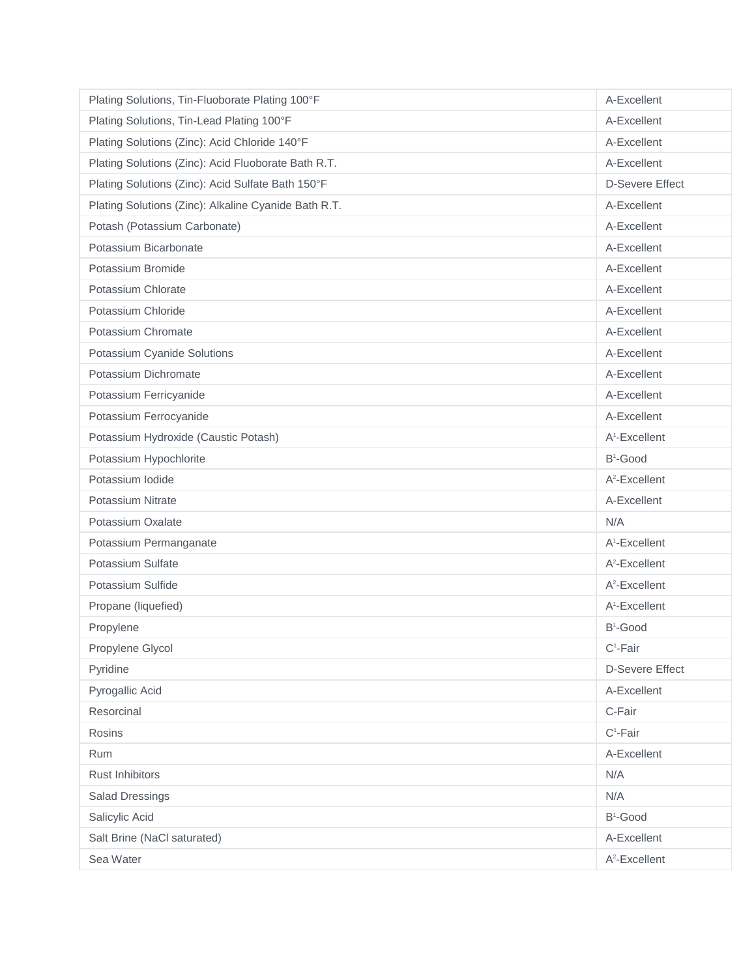| Plating Solutions, Tin-Fluoborate Plating 100°F      | A-Excellent               |
|------------------------------------------------------|---------------------------|
| Plating Solutions, Tin-Lead Plating 100°F            | A-Excellent               |
| Plating Solutions (Zinc): Acid Chloride 140°F        | A-Excellent               |
| Plating Solutions (Zinc): Acid Fluoborate Bath R.T.  | A-Excellent               |
| Plating Solutions (Zinc): Acid Sulfate Bath 150°F    | <b>D-Severe Effect</b>    |
| Plating Solutions (Zinc): Alkaline Cyanide Bath R.T. | A-Excellent               |
| Potash (Potassium Carbonate)                         | A-Excellent               |
| Potassium Bicarbonate                                | A-Excellent               |
| Potassium Bromide                                    | A-Excellent               |
| Potassium Chlorate                                   | A-Excellent               |
| Potassium Chloride                                   | A-Excellent               |
| Potassium Chromate                                   | A-Excellent               |
| Potassium Cyanide Solutions                          | A-Excellent               |
| Potassium Dichromate                                 | A-Excellent               |
| Potassium Ferricyanide                               | A-Excellent               |
| Potassium Ferrocyanide                               | A-Excellent               |
| Potassium Hydroxide (Caustic Potash)                 | A <sup>1</sup> -Excellent |
| Potassium Hypochlorite                               | B <sup>1</sup> -Good      |
| Potassium Iodide                                     | $A^2$ -Excellent          |
| Potassium Nitrate                                    | A-Excellent               |
| Potassium Oxalate                                    | N/A                       |
| Potassium Permanganate                               | A <sup>1</sup> -Excellent |
| Potassium Sulfate                                    | $A^2$ -Excellent          |
| Potassium Sulfide                                    | A <sup>2</sup> -Excellent |
| Propane (liquefied)                                  | A <sup>1</sup> -Excellent |
| Propylene                                            | $B^1$ -Good               |
| Propylene Glycol                                     | $C^1$ -Fair               |
| Pyridine                                             | <b>D-Severe Effect</b>    |
| Pyrogallic Acid                                      | A-Excellent               |
| Resorcinal                                           | C-Fair                    |
| Rosins                                               | $C^1$ -Fair               |
| Rum                                                  | A-Excellent               |
| Rust Inhibitors                                      | N/A                       |
| <b>Salad Dressings</b>                               | N/A                       |
| Salicylic Acid                                       | B <sup>1</sup> -Good      |
| Salt Brine (NaCl saturated)                          | A-Excellent               |
| Sea Water                                            | A <sup>2</sup> -Excellent |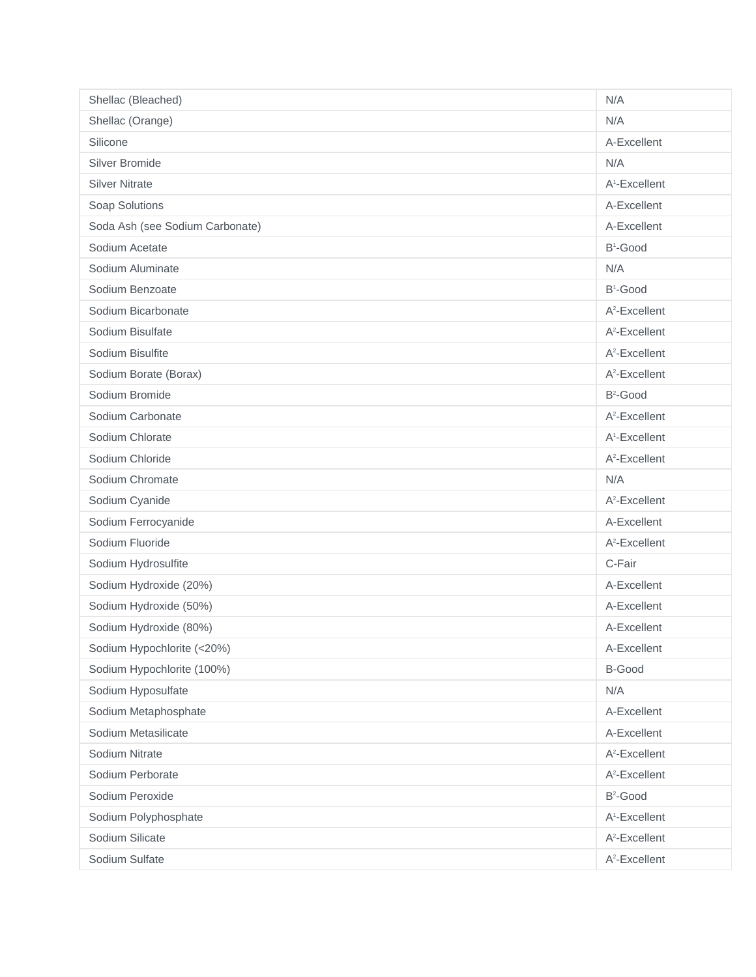| Shellac (Bleached)              | N/A                       |
|---------------------------------|---------------------------|
| Shellac (Orange)                | N/A                       |
| Silicone                        | A-Excellent               |
| Silver Bromide                  | N/A                       |
| <b>Silver Nitrate</b>           | A <sup>1</sup> -Excellent |
| Soap Solutions                  | A-Excellent               |
| Soda Ash (see Sodium Carbonate) | A-Excellent               |
| Sodium Acetate                  | $B^1$ -Good               |
| Sodium Aluminate                | N/A                       |
| Sodium Benzoate                 | B <sup>1</sup> -Good      |
| Sodium Bicarbonate              | $A^2$ -Excellent          |
| Sodium Bisulfate                | A <sup>2</sup> -Excellent |
| Sodium Bisulfite                | $A^2$ -Excellent          |
| Sodium Borate (Borax)           | $A^2$ -Excellent          |
| Sodium Bromide                  | B <sup>2</sup> -Good      |
| Sodium Carbonate                | $A^2$ -Excellent          |
| Sodium Chlorate                 | A <sup>1</sup> -Excellent |
| Sodium Chloride                 | $A^2$ -Excellent          |
| Sodium Chromate                 | N/A                       |
| Sodium Cyanide                  | $A^2$ -Excellent          |
| Sodium Ferrocyanide             | A-Excellent               |
| Sodium Fluoride                 | $A^2$ -Excellent          |
| Sodium Hydrosulfite             | C-Fair                    |
| Sodium Hydroxide (20%)          | A-Excellent               |
| Sodium Hydroxide (50%)          | A-Excellent               |
| Sodium Hydroxide (80%)          | A-Excellent               |
| Sodium Hypochlorite (<20%)      | A-Excellent               |
| Sodium Hypochlorite (100%)      | <b>B-Good</b>             |
| Sodium Hyposulfate              | N/A                       |
| Sodium Metaphosphate            | A-Excellent               |
| Sodium Metasilicate             | A-Excellent               |
| Sodium Nitrate                  | A <sup>2</sup> -Excellent |
| Sodium Perborate                | A <sup>2</sup> -Excellent |
| Sodium Peroxide                 | $B^2$ -Good               |
| Sodium Polyphosphate            | A <sup>1</sup> -Excellent |
| Sodium Silicate                 | A <sup>2</sup> -Excellent |
| Sodium Sulfate                  | A <sup>2</sup> -Excellent |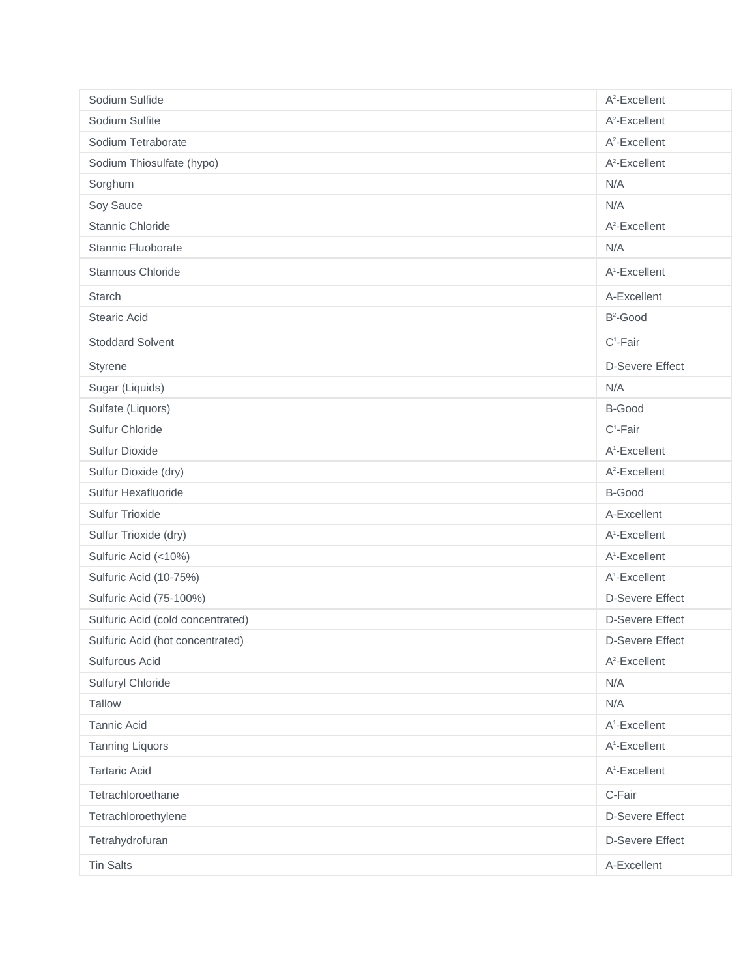| Sodium Sulfide                    | A <sup>2</sup> -Excellent |
|-----------------------------------|---------------------------|
| Sodium Sulfite                    | $A^2$ -Excellent          |
| Sodium Tetraborate                | $A^2$ -Excellent          |
| Sodium Thiosulfate (hypo)         | A <sup>2</sup> -Excellent |
| Sorghum                           | N/A                       |
| Soy Sauce                         | N/A                       |
| Stannic Chloride                  | $A^2$ -Excellent          |
| Stannic Fluoborate                | N/A                       |
| Stannous Chloride                 | A <sup>1</sup> -Excellent |
| Starch                            | A-Excellent               |
| <b>Stearic Acid</b>               | $B^2$ -Good               |
| <b>Stoddard Solvent</b>           | $C^1$ -Fair               |
| Styrene                           | <b>D-Severe Effect</b>    |
| Sugar (Liquids)                   | N/A                       |
| Sulfate (Liquors)                 | <b>B-Good</b>             |
| Sulfur Chloride                   | $C^1$ -Fair               |
| <b>Sulfur Dioxide</b>             | A <sup>1</sup> -Excellent |
| Sulfur Dioxide (dry)              | $A^2$ -Excellent          |
| Sulfur Hexafluoride               | <b>B-Good</b>             |
| <b>Sulfur Trioxide</b>            | A-Excellent               |
| Sulfur Trioxide (dry)             | A <sup>1</sup> -Excellent |
| Sulfuric Acid (<10%)              | A <sup>1</sup> -Excellent |
| Sulfuric Acid (10-75%)            | A <sup>1</sup> -Excellent |
| Sulfuric Acid (75-100%)           | <b>D-Severe Effect</b>    |
| Sulfuric Acid (cold concentrated) | <b>D-Severe Effect</b>    |
| Sulfuric Acid (hot concentrated)  | <b>D-Severe Effect</b>    |
| Sulfurous Acid                    | $A^2$ -Excellent          |
| Sulfuryl Chloride                 | N/A                       |
| Tallow                            | N/A                       |
| <b>Tannic Acid</b>                | A <sup>1</sup> -Excellent |
| <b>Tanning Liquors</b>            | A <sup>1</sup> -Excellent |
| <b>Tartaric Acid</b>              | A <sup>1</sup> -Excellent |
| Tetrachloroethane                 | C-Fair                    |
| Tetrachloroethylene               | <b>D-Severe Effect</b>    |
| Tetrahydrofuran                   | <b>D-Severe Effect</b>    |
| <b>Tin Salts</b>                  | A-Excellent               |
|                                   |                           |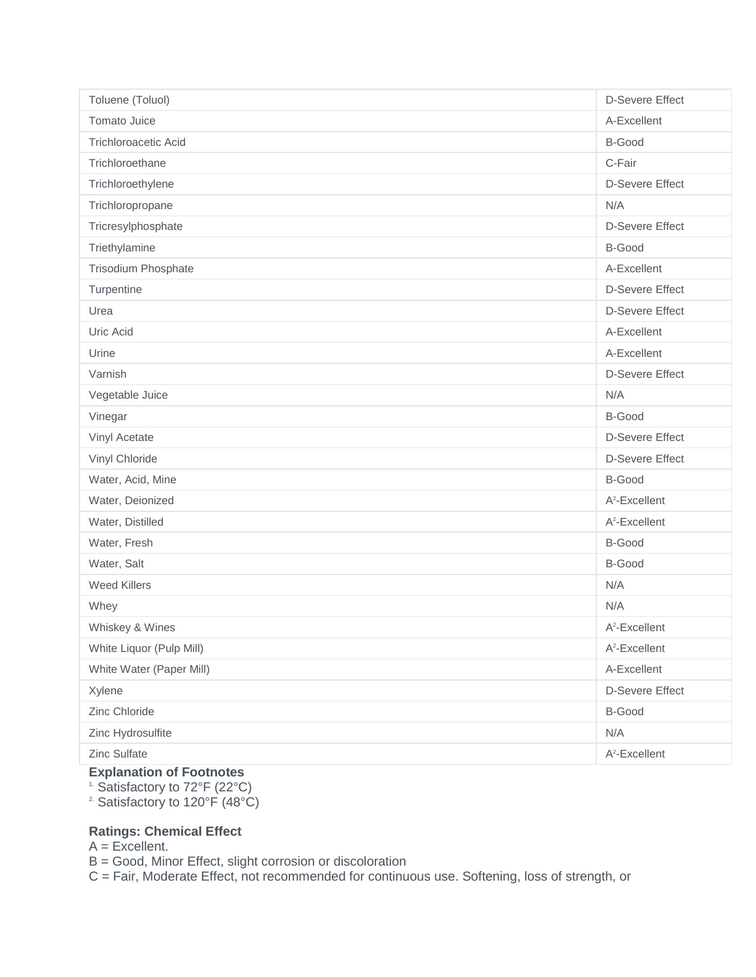| Toluene (Toluol)            | <b>D-Severe Effect</b>    |
|-----------------------------|---------------------------|
| Tomato Juice                | A-Excellent               |
| <b>Trichloroacetic Acid</b> | <b>B-Good</b>             |
| Trichloroethane             | C-Fair                    |
| Trichloroethylene           | <b>D-Severe Effect</b>    |
| Trichloropropane            | N/A                       |
| Tricresylphosphate          | <b>D-Severe Effect</b>    |
| Triethylamine               | <b>B-Good</b>             |
| Trisodium Phosphate         | A-Excellent               |
| Turpentine                  | <b>D-Severe Effect</b>    |
| Urea                        | <b>D-Severe Effect</b>    |
| Uric Acid                   | A-Excellent               |
| Urine                       | A-Excellent               |
| Varnish                     | <b>D-Severe Effect</b>    |
| Vegetable Juice             | N/A                       |
| Vinegar                     | <b>B-Good</b>             |
| Vinyl Acetate               | <b>D-Severe Effect</b>    |
| Vinyl Chloride              | <b>D-Severe Effect</b>    |
| Water, Acid, Mine           | B-Good                    |
| Water, Deionized            | $A^2$ -Excellent          |
| Water, Distilled            | A <sup>2</sup> -Excellent |
| Water, Fresh                | B-Good                    |
| Water, Salt                 | <b>B-Good</b>             |
| <b>Weed Killers</b>         | N/A                       |
| Whey                        | N/A                       |
| Whiskey & Wines             | $A^2$ -Excellent          |
| White Liquor (Pulp Mill)    | A <sup>2</sup> -Excellent |
| White Water (Paper Mill)    | A-Excellent               |
| Xylene                      | <b>D-Severe Effect</b>    |
| Zinc Chloride               | <b>B-Good</b>             |
| Zinc Hydrosulfite           | N/A                       |
| Zinc Sulfate                | A <sup>2</sup> -Excellent |

## **Explanation of Footnotes**

1. Satisfactory to 72°F (22°C)

2. Satisfactory to 120°F (48°C)

## **Ratings: Chemical Effect**

 $A = Excellent$ .

B = Good, Minor Effect, slight corrosion or discoloration

C = Fair, Moderate Effect, not recommended for continuous use. Softening, loss of strength, or